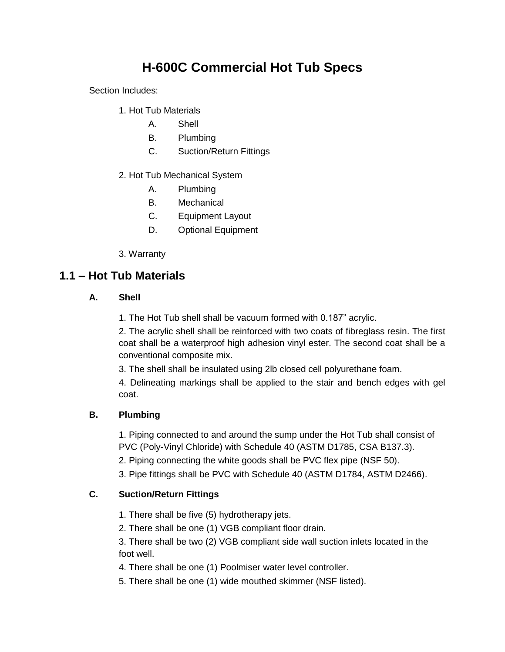# **H-600C Commercial Hot Tub Specs**

Section Includes:

- 1. Hot Tub Materials
	- A. Shell
	- B. Plumbing
	- C. Suction/Return Fittings
- 2. Hot Tub Mechanical System
	- A. Plumbing
	- B. Mechanical
	- C. Equipment Layout
	- D. Optional Equipment
- 3. Warranty

## **1.1 – Hot Tub Materials**

#### **A. Shell**

1. The Hot Tub shell shall be vacuum formed with 0.187" acrylic.

2. The acrylic shell shall be reinforced with two coats of fibreglass resin. The first coat shall be a waterproof high adhesion vinyl ester. The second coat shall be a conventional composite mix.

3. The shell shall be insulated using 2lb closed cell polyurethane foam.

4. Delineating markings shall be applied to the stair and bench edges with gel coat.

#### **B. Plumbing**

1. Piping connected to and around the sump under the Hot Tub shall consist of PVC (Poly-Vinyl Chloride) with Schedule 40 (ASTM D1785, CSA B137.3).

2. Piping connecting the white goods shall be PVC flex pipe (NSF 50).

3. Pipe fittings shall be PVC with Schedule 40 (ASTM D1784, ASTM D2466).

#### **C. Suction/Return Fittings**

1. There shall be five (5) hydrotherapy jets.

2. There shall be one (1) VGB compliant floor drain.

3. There shall be two (2) VGB compliant side wall suction inlets located in the foot well.

4. There shall be one (1) Poolmiser water level controller.

5. There shall be one (1) wide mouthed skimmer (NSF listed).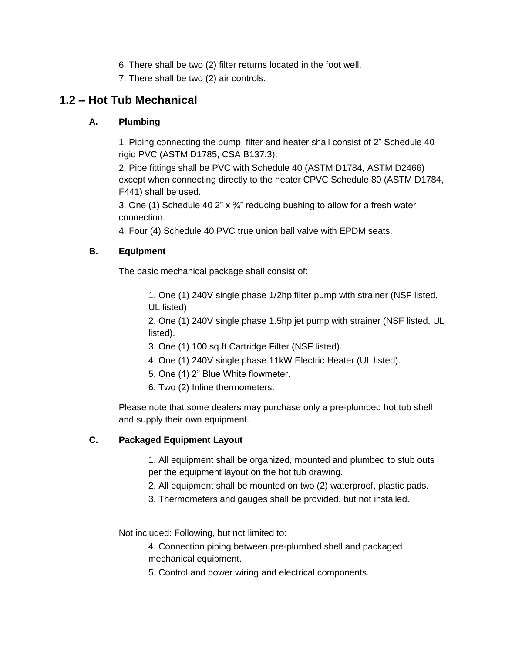- 6. There shall be two (2) filter returns located in the foot well.
- 7. There shall be two (2) air controls.

## **1.2 – Hot Tub Mechanical**

#### **A. Plumbing**

1. Piping connecting the pump, filter and heater shall consist of 2" Schedule 40 rigid PVC (ASTM D1785, CSA B137.3).

2. Pipe fittings shall be PVC with Schedule 40 (ASTM D1784, ASTM D2466) except when connecting directly to the heater CPVC Schedule 80 (ASTM D1784, F441) shall be used.

3. One (1) Schedule 40 2"  $\times$  3/4" reducing bushing to allow for a fresh water connection.

4. Four (4) Schedule 40 PVC true union ball valve with EPDM seats.

### **B. Equipment**

The basic mechanical package shall consist of:

1. One (1) 240V single phase 1/2hp filter pump with strainer (NSF listed, UL listed)

2. One (1) 240V single phase 1.5hp jet pump with strainer (NSF listed, UL listed).

- 3. One (1) 100 sq.ft Cartridge Filter (NSF listed).
- 4. One (1) 240V single phase 11kW Electric Heater (UL listed).
- 5. One (1) 2" Blue White flowmeter.
- 6. Two (2) Inline thermometers.

Please note that some dealers may purchase only a pre-plumbed hot tub shell and supply their own equipment.

#### **C. Packaged Equipment Layout**

1. All equipment shall be organized, mounted and plumbed to stub outs per the equipment layout on the hot tub drawing.

- 2. All equipment shall be mounted on two (2) waterproof, plastic pads.
- 3. Thermometers and gauges shall be provided, but not installed.

Not included: Following, but not limited to:

4. Connection piping between pre-plumbed shell and packaged mechanical equipment.

5. Control and power wiring and electrical components.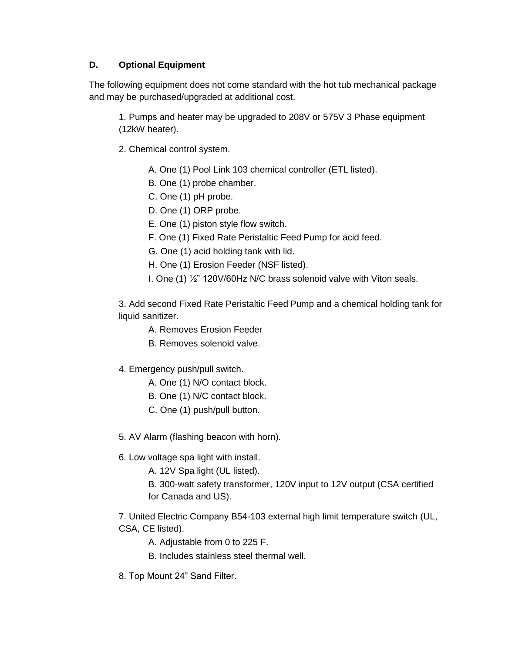#### **D. Optional Equipment**

The following equipment does not come standard with the hot tub mechanical package and may be purchased/upgraded at additional cost.

1. Pumps and heater may be upgraded to 208V or 575V 3 Phase equipment (12kW heater).

- 2. Chemical control system.
	- A. One (1) Pool Link 103 chemical controller (ETL listed).
	- B. One (1) probe chamber.
	- C. One (1) pH probe.
	- D. One (1) ORP probe.
	- E. One (1) piston style flow switch.
	- F. One (1) Fixed Rate Peristaltic Feed Pump for acid feed.
	- G. One (1) acid holding tank with lid.
	- H. One (1) Erosion Feeder (NSF listed).
	- I. One (1) ½" 120V/60Hz N/C brass solenoid valve with Viton seals.

3. Add second Fixed Rate Peristaltic Feed Pump and a chemical holding tank for liquid sanitizer.

- A. Removes Erosion Feeder
- B. Removes solenoid valve.
- 4. Emergency push/pull switch.
	- A. One (1) N/O contact block.
	- B. One (1) N/C contact block.
	- C. One (1) push/pull button.

5. AV Alarm (flashing beacon with horn).

- 6. Low voltage spa light with install.
	- A. 12V Spa light (UL listed).
	- B. 300-watt safety transformer, 120V input to 12V output (CSA certified for Canada and US).

7. United Electric Company B54-103 external high limit temperature switch (UL, CSA, CE listed).

- A. Adjustable from 0 to 225 F.
- B. Includes stainless steel thermal well.
- 8. Top Mount 24" Sand Filter.